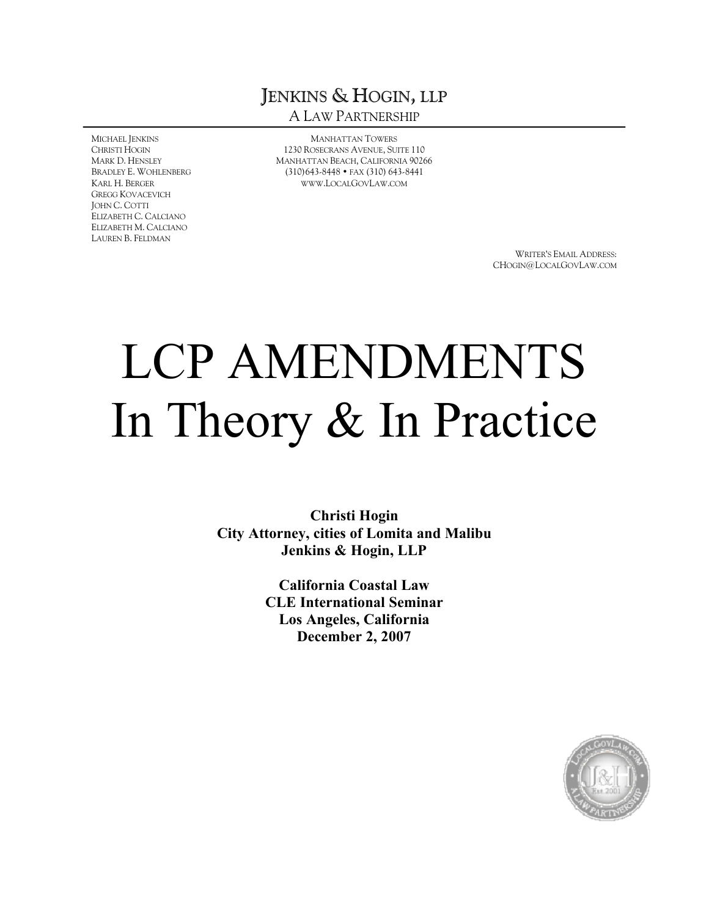# JENKINS & HOGIN, LLP A LAW PARTNERSHIP

MICHAEL JENKINS CHRISTI HOGIN MARK D. HENSLEY BRADLEY E. WOHLENBERG KARL H. BERGER GREGG KOVACEVICH JOHN C. COTTI ELIZABETH C. CALCIANO ELIZABETH M. CALCIANO LAUREN B. FELDMAN

MANHATTAN TOWERS 1230 ROSECRANS AVENUE, SUITE 110 MANHATTAN BEACH, CALIFORNIA 90266 (310)643-8448 • FAX (310) 643-8441 [WWW](WWW.LOCALGOVLAW.COM).LOCALGOVLAW.COM

> WRITER'S EMAIL ADDRESS: CHOGIN@LOCALGOVLAW.COM

# LCP AMENDMENTS In Theory & In Practice

**Christi Hogin City Attorney, cities of Lomita and Malibu Jenkins & Hogin, LLP**

> **California Coastal Law CLE International Seminar Los Angeles, California December 2, 2007**

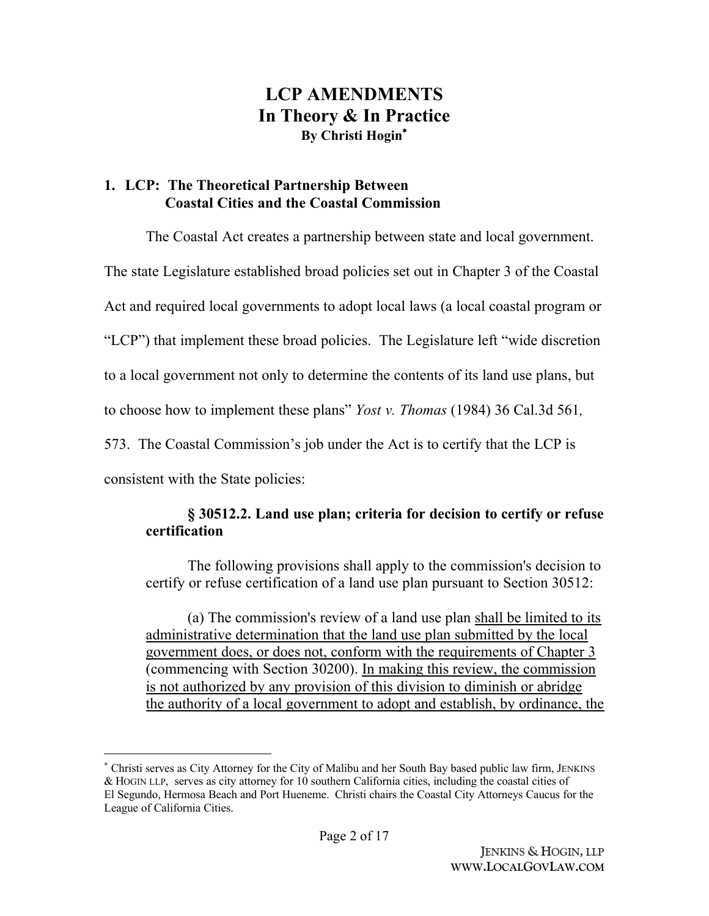# **LCP AMENDMENTS In Theory & In Practice By Christi Hogin**\*

## **1. LCP: The Theoretical Partnership Between Coastal Cities and the Coastal Commission**

The Coastal Act creates a partnership between state and local government.

The state Legislature established broad policies set out in Chapter 3 of the Coastal

Act and required local governments to adopt local laws (a local coastal program or

"LCP") that implement these broad policies. The Legislature left "wide discretion

to a local government not only to determine the contents of its land use plans, but

to choose how to implement these plans" *Yost v. Thomas* (1984) 36 Cal.3d 561*,*

573. The Coastal Commission's job under the Act is to certify that the LCP is

consistent with the State policies:

## **§ 30512.2. Land use plan; criteria for decision to certify or refuse certification**

The following provisions shall apply to the commission's decision to certify or refuse certification of a land use plan pursuant to Section 30512:

(a) The commission's review of a land use plan shall be limited to its administrative determination that the land use plan submitted by the local government does, or does not, conform with the requirements of Chapter 3 (commencing with Section 30200). In making this review, the commission is not authorized by any provision of this division to diminish or abridge the authority of a local government to adopt and establish, by ordinance, the

<sup>\*</sup> Christi serves as City Attorney for the City of Malibu and her South Bay based public law firm, JENKINS & HOGIN LLP, serves as city attorney for 10 southern California cities, including the coastal cities of El Segundo, Hermosa Beach and Port Hueneme. Christi chairs the Coastal City Attorneys Caucus for the League of California Cities.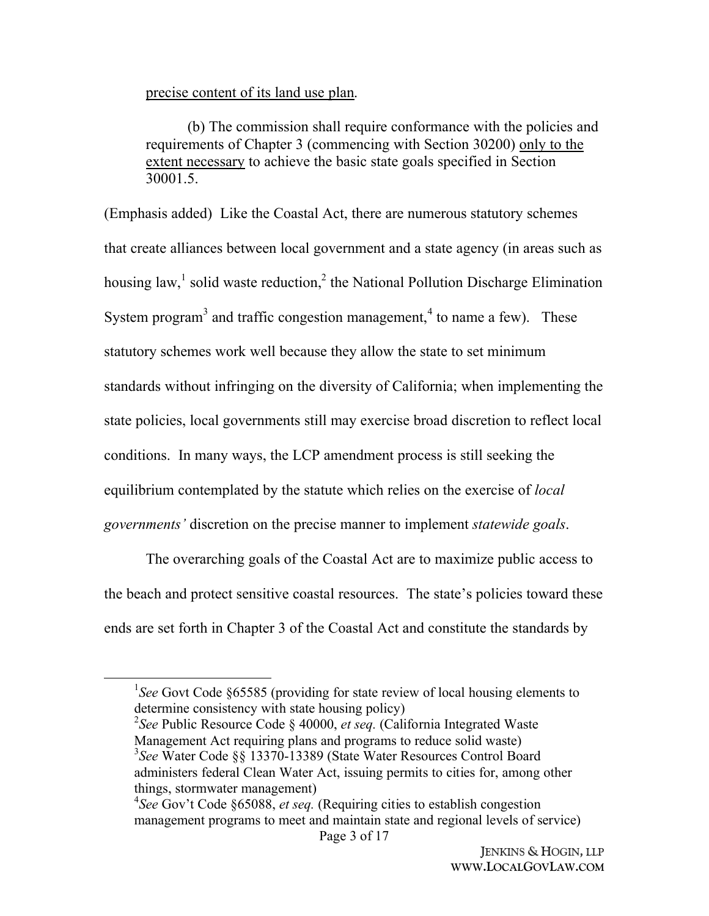### precise content of its land use plan.

(b) The commission shall require conformance with the policies and requirements of Chapter 3 (commencing with Section 30200) only to the extent necessary to achieve the basic state goals specified in Section 30001.5.

(Emphasis added) Like the Coastal Act, there are numerous statutory schemes that create alliances between local government and a state agency (in areas such as housing law,<sup>1</sup> solid waste reduction,<sup>2</sup> the National Pollution Discharge Elimination System program<sup>3</sup> and traffic congestion management,<sup>4</sup> to name a few). These statutory schemes work well because they allow the state to set minimum standards without infringing on the diversity of California; when implementing the state policies, local governments still may exercise broad discretion to reflect local conditions. In many ways, the LCP amendment process is still seeking the equilibrium contemplated by the statute which relies on the exercise of *local governments'* discretion on the precise manner to implement *statewide goals*.

The overarching goals of the Coastal Act are to maximize public access to the beach and protect sensitive coastal resources. The state's policies toward these ends are set forth in Chapter 3 of the Coastal Act and constitute the standards by

<sup>&</sup>lt;sup>1</sup>See Govt Code §65585 (providing for state review of local housing elements to determine consistency with state housing policy)

<sup>2</sup> *See* Public Resource Code § 40000, *et seq.* (California Integrated Waste Management Act requiring plans and programs to reduce solid waste) 3 *See* Water Code §§ 13370-13389 (State Water Resources Control Board administers federal Clean Water Act, issuing permits to cities for, among other things, stormwater management)

Page 3 of 17 4 *See* Gov't Code §65088, *et seq.* (Requiring cities to establish congestion management programs to meet and maintain state and regional levels of service)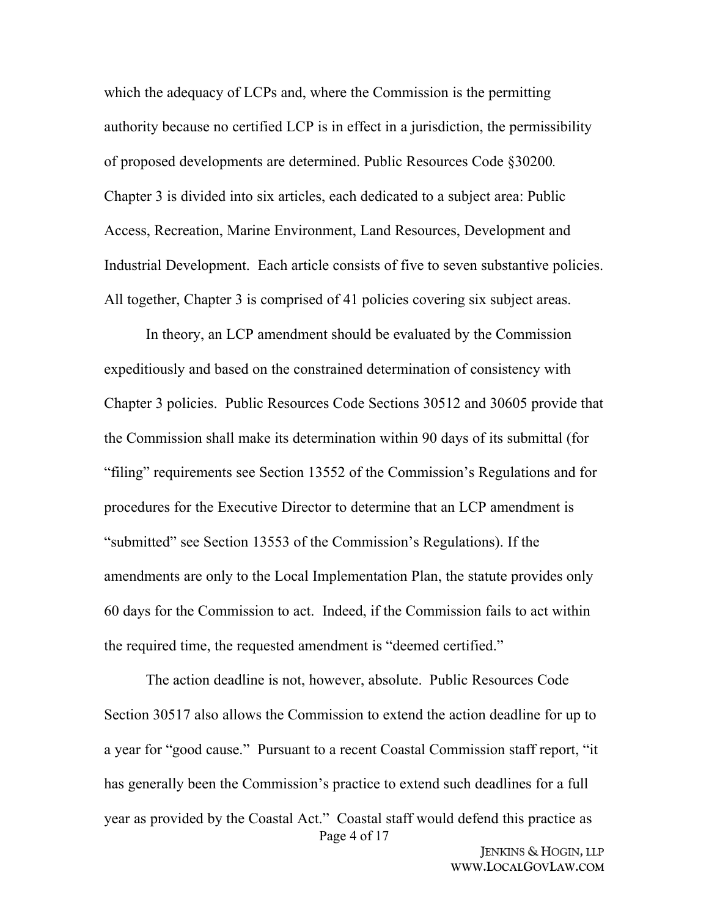which the adequacy of LCPs and, where the Commission is the permitting authority because no certified LCP is in effect in a jurisdiction, the permissibility of proposed developments are determined. Public Resources Code §30200*.* Chapter 3 is divided into six articles, each dedicated to a subject area: Public Access, Recreation, Marine Environment, Land Resources, Development and Industrial Development. Each article consists of five to seven substantive policies. All together, Chapter 3 is comprised of 41 policies covering six subject areas.

In theory, an LCP amendment should be evaluated by the Commission expeditiously and based on the constrained determination of consistency with Chapter 3 policies. Public Resources Code Sections 30512 and 30605 provide that the Commission shall make its determination within 90 days of its submittal (for "filing" requirements see Section 13552 of the Commission's Regulations and for procedures for the Executive Director to determine that an LCP amendment is "submitted" see Section 13553 of the Commission's Regulations). If the amendments are only to the Local Implementation Plan, the statute provides only 60 days for the Commission to act. Indeed, if the Commission fails to act within the required time, the requested amendment is "deemed certified."

Page 4 of 17 The action deadline is not, however, absolute. Public Resources Code Section 30517 also allows the Commission to extend the action deadline for up to a year for "good cause." Pursuant to a recent Coastal Commission staff report, "it has generally been the Commission's practice to extend such deadlines for a full year as provided by the Coastal Act." Coastal staff would defend this practice as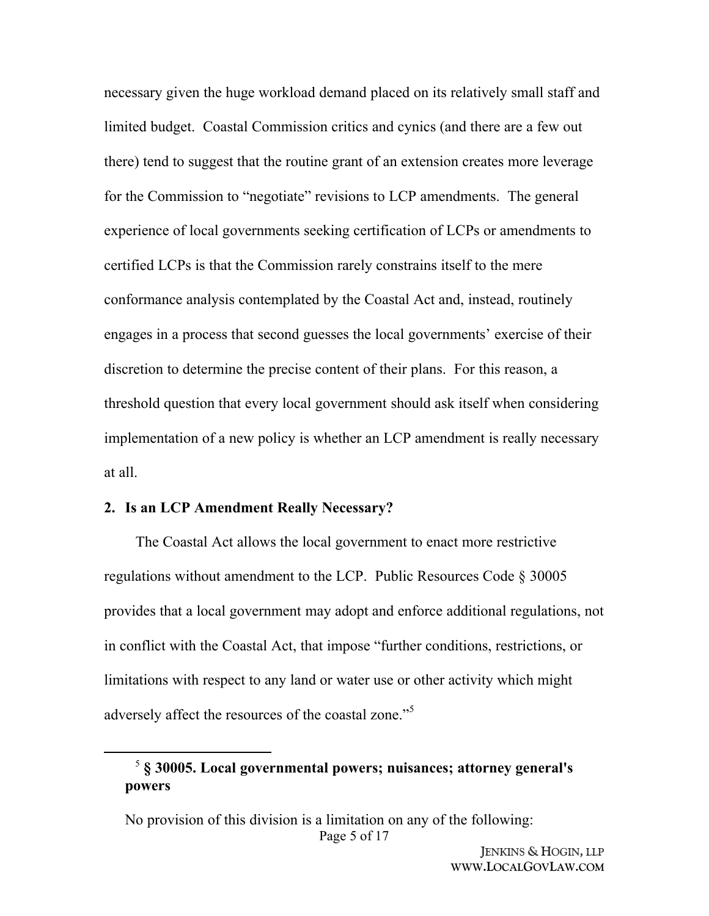necessary given the huge workload demand placed on its relatively small staff and limited budget. Coastal Commission critics and cynics (and there are a few out there) tend to suggest that the routine grant of an extension creates more leverage for the Commission to "negotiate" revisions to LCP amendments. The general experience of local governments seeking certification of LCPs or amendments to certified LCPs is that the Commission rarely constrains itself to the mere conformance analysis contemplated by the Coastal Act and, instead, routinely engages in a process that second guesses the local governments' exercise of their discretion to determine the precise content of their plans. For this reason, a threshold question that every local government should ask itself when considering implementation of a new policy is whether an LCP amendment is really necessary at all.

#### **2. Is an LCP Amendment Really Necessary?**

The Coastal Act allows the local government to enact more restrictive regulations without amendment to the LCP. Public Resources Code § 30005 provides that a local government may adopt and enforce additional regulations, not in conflict with the Coastal Act, that impose "further conditions, restrictions, or limitations with respect to any land or water use or other activity which might adversely affect the resources of the coastal zone."<sup>5</sup>

<sup>5</sup> **§ 30005. Local governmental powers; nuisances; attorney general's powers**

Page 5 of 17 No provision of this division is a limitation on any of the following: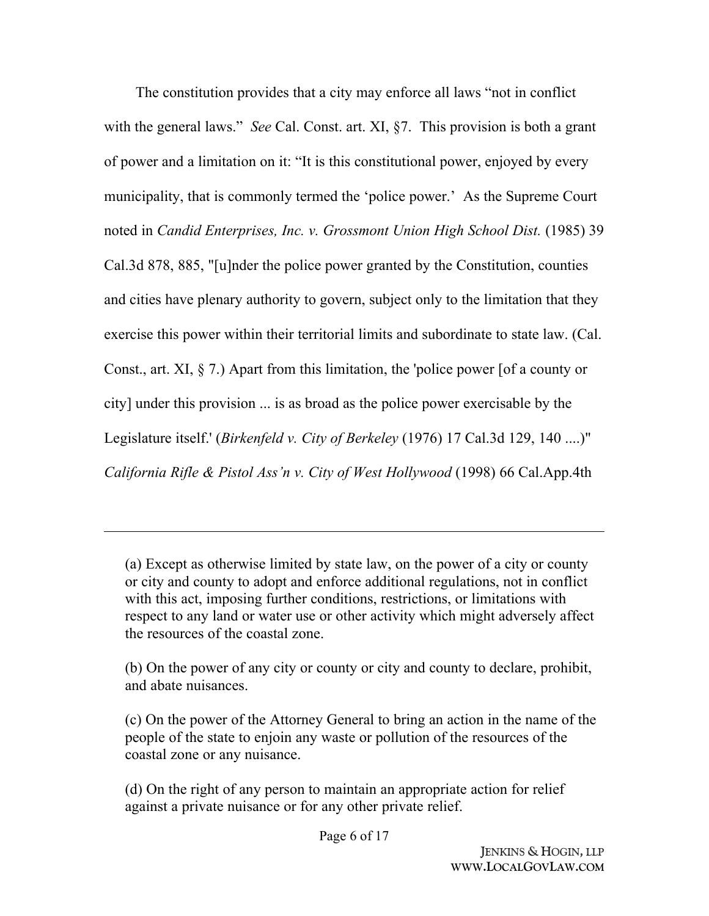The constitution provides that a city may enforce all laws "not in conflict with the general laws." *See* Cal. Const. art. XI, §7. This provision is both a grant of power and a limitation on it: "It is this constitutional power, enjoyed by every municipality, that is commonly termed the 'police power.' As the Supreme Court noted in *Candid Enterprises, Inc. v. Grossmont Union High School Dist.* (1985) 39 Cal.3d 878, 885, "[u]nder the police power granted by the Constitution, counties and cities have plenary authority to govern, subject only to the limitation that they exercise this power within their territorial limits and subordinate to state law. (Cal. Const., art. XI, § 7.) Apart from this limitation, the 'police power [of a county or city] under this provision ... is as broad as the police power exercisable by the Legislature itself.' (*Birkenfeld v. City of Berkeley* (1976) 17 Cal.3d 129, 140 ....)" *California Rifle & Pistol Ass'n v. City of West Hollywood* (1998) 66 Cal.App.4th

(a) Except as otherwise limited by state law, on the power of a city or county or city and county to adopt and enforce additional regulations, not in conflict with this act, imposing further conditions, restrictions, or limitations with respect to any land or water use or other activity which might adversely affect the resources of the coastal zone.

(b) On the power of any city or county or city and county to declare, prohibit, and abate nuisances.

(c) On the power of the Attorney General to bring an action in the name of the people of the state to enjoin any waste or pollution of the resources of the coastal zone or any nuisance.

(d) On the right of any person to maintain an appropriate action for relief against a private nuisance or for any other private relief.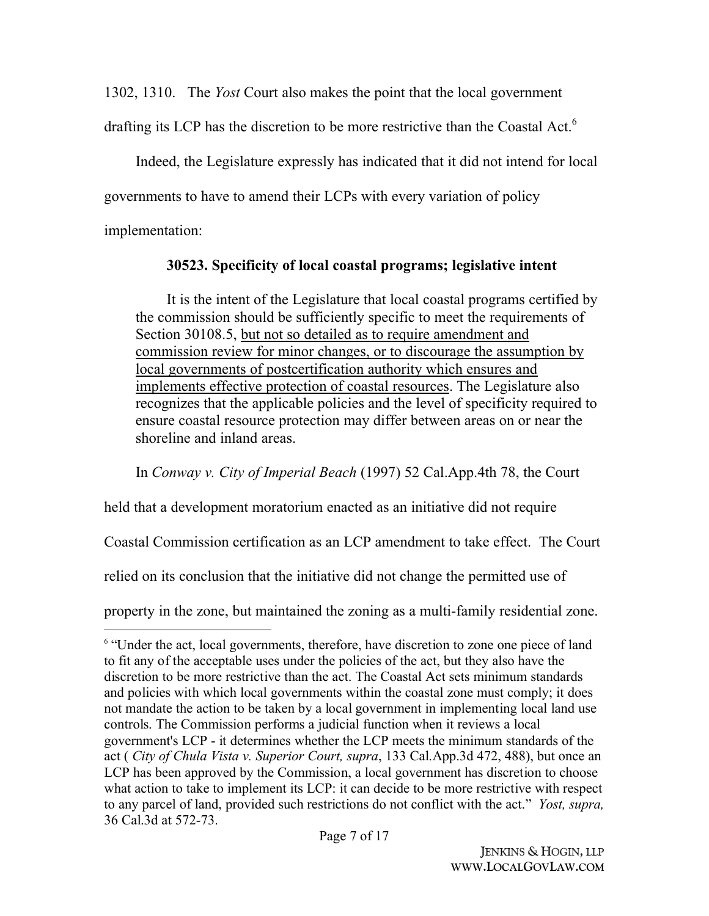1302, 1310. The *Yost* Court also makes the point that the local government

drafting its LCP has the discretion to be more restrictive than the Coastal Act.<sup>6</sup>

Indeed, the Legislature expressly has indicated that it did not intend for local governments to have to amend their LCPs with every variation of policy implementation:

## **30523. Specificity of local coastal programs; legislative intent**

It is the intent of the Legislature that local coastal programs certified by the commission should be sufficiently specific to meet the requirements of Section 30108.5, but not so detailed as to require amendment and commission review for minor changes, or to discourage the assumption by local governments of postcertification authority which ensures and implements effective protection of coastal resources. The Legislature also recognizes that the applicable policies and the level of specificity required to ensure coastal resource protection may differ between areas on or near the shoreline and inland areas.

In *Conway v. City of Imperial Beach* (1997) 52 Cal.App.4th 78, the Court

held that a development moratorium enacted as an initiative did not require

Coastal Commission certification as an LCP amendment to take effect. The Court

relied on its conclusion that the initiative did not change the permitted use of

property in the zone, but maintained the zoning as a multi-family residential zone.

<sup>&</sup>lt;sup>6</sup> "Under the act, local governments, therefore, have discretion to zone one piece of land to fit any of the acceptable uses under the policies of the act, but they also have the discretion to be more restrictive than the act. The Coastal Act sets minimum standards and policies with which local governments within the coastal zone must comply; it does not mandate the action to be taken by a local government in implementing local land use controls. The Commission performs a judicial function when it reviews a local government's LCP - it determines whether the LCP meets the minimum standards of the act ( *City of Chula Vista v. Superior Court, supra*, 133 Cal.App.3d 472, 488), but once an LCP has been approved by the Commission, a local government has discretion to choose what action to take to implement its LCP: it can decide to be more restrictive with respect to any parcel of land, provided such restrictions do not conflict with the act." *Yost, supra,*  36 Cal.3d at 572-73.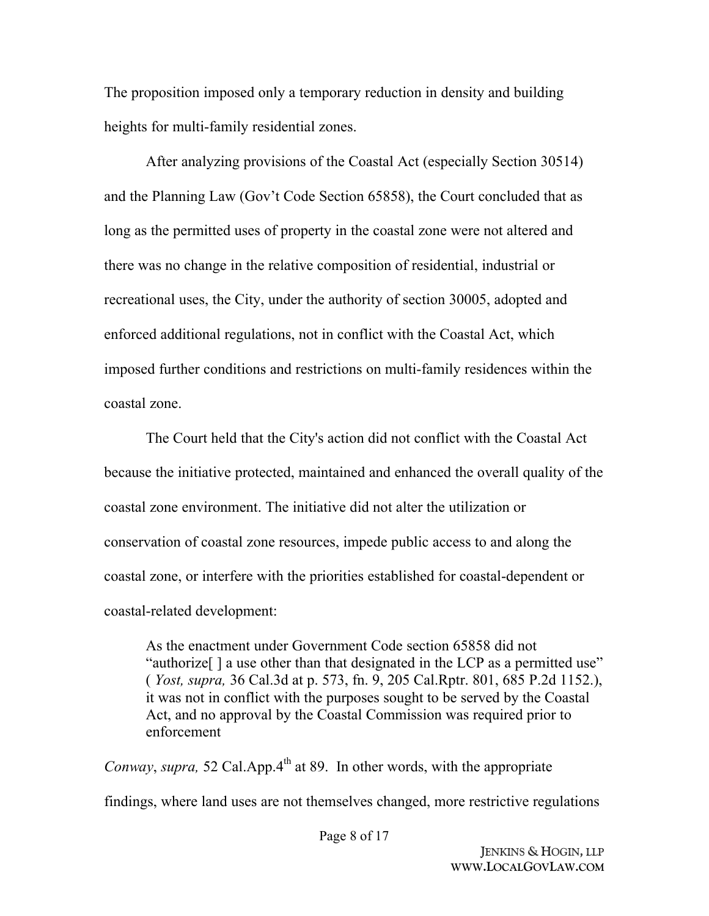The proposition imposed only a temporary reduction in density and building heights for multi-family residential zones.

After analyzing provisions of the Coastal Act (especially Section 30514) and the Planning Law (Gov't Code Section 65858), the Court concluded that as long as the permitted uses of property in the coastal zone were not altered and there was no change in the relative composition of residential, industrial or recreational uses, the City, under the authority of section 30005, adopted and enforced additional regulations, not in conflict with the Coastal Act, which imposed further conditions and restrictions on multi-family residences within the coastal zone.

The Court held that the City's action did not conflict with the Coastal Act because the initiative protected, maintained and enhanced the overall quality of the coastal zone environment. The initiative did not alter the utilization or conservation of coastal zone resources, impede public access to and along the coastal zone, or interfere with the priorities established for coastal-dependent or coastal-related development:

As the enactment under Government Code section 65858 did not "authorize[ ] a use other than that designated in the LCP as a permitted use" ( *Yost, supra,* 36 Cal.3d at p. 573, fn. 9, 205 Cal.Rptr. 801, 685 P.2d 1152.), it was not in conflict with the purposes sought to be served by the Coastal Act, and no approval by the Coastal Commission was required prior to enforcement

*Conway, supra,* 52 Cal.App.4<sup>th</sup> at 89. In other words, with the appropriate findings, where land uses are not themselves changed, more restrictive regulations

Page 8 of 17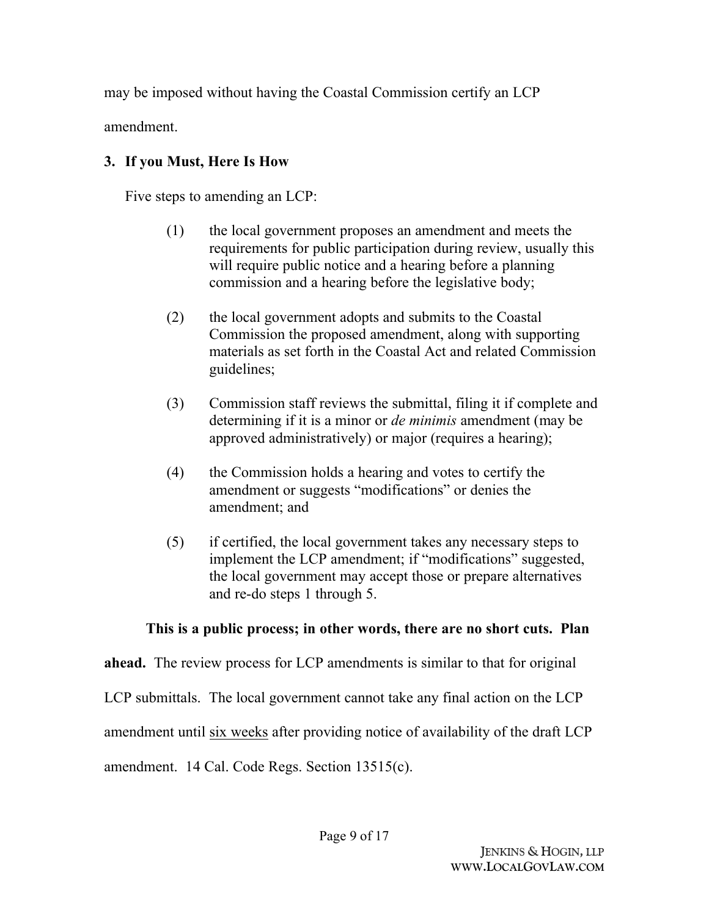may be imposed without having the Coastal Commission certify an LCP

amendment.

# **3. If you Must, Here Is How**

Five steps to amending an LCP:

- (1) the local government proposes an amendment and meets the requirements for public participation during review, usually this will require public notice and a hearing before a planning commission and a hearing before the legislative body;
- (2) the local government adopts and submits to the Coastal Commission the proposed amendment, along with supporting materials as set forth in the Coastal Act and related Commission guidelines;
- (3) Commission staff reviews the submittal, filing it if complete and determining if it is a minor or *de minimis* amendment (may be approved administratively) or major (requires a hearing);
- (4) the Commission holds a hearing and votes to certify the amendment or suggests "modifications" or denies the amendment; and
- (5) if certified, the local government takes any necessary steps to implement the LCP amendment; if "modifications" suggested, the local government may accept those or prepare alternatives and re-do steps 1 through 5.

# **This is a public process; in other words, there are no short cuts. Plan**

**ahead.** The review process for LCP amendments is similar to that for original

LCP submittals. The local government cannot take any final action on the LCP

amendment until six weeks after providing notice of availability of the draft LCP

amendment. 14 Cal. Code Regs. Section 13515(c).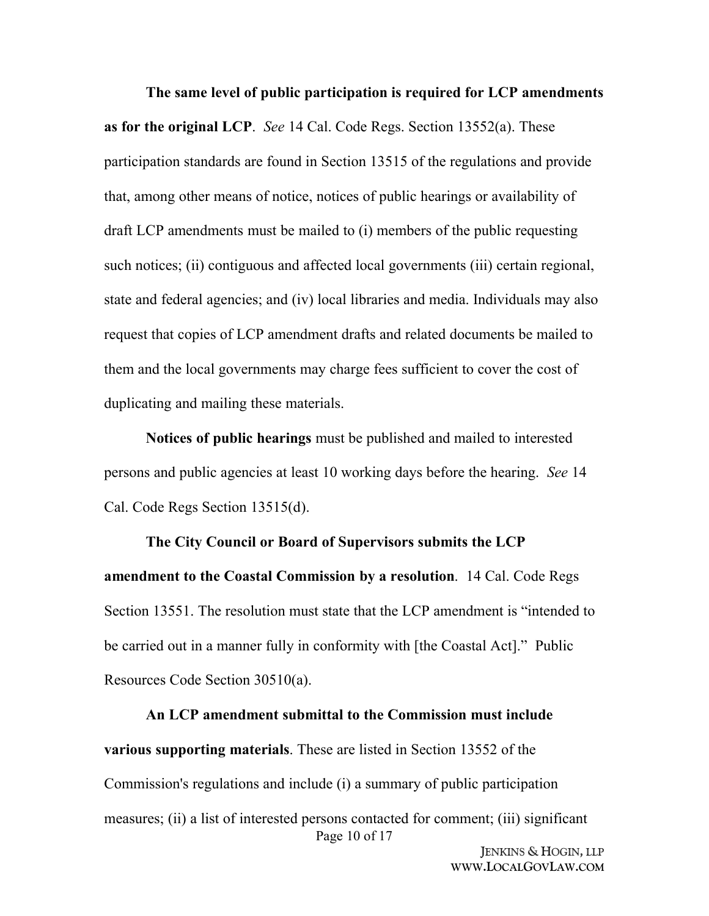**The same level of public participation is required for LCP amendments as for the original LCP**. *See* 14 Cal. Code Regs. Section 13552(a). These participation standards are found in Section 13515 of the regulations and provide that, among other means of notice, notices of public hearings or availability of draft LCP amendments must be mailed to (i) members of the public requesting such notices; (ii) contiguous and affected local governments (iii) certain regional, state and federal agencies; and (iv) local libraries and media. Individuals may also request that copies of LCP amendment drafts and related documents be mailed to them and the local governments may charge fees sufficient to cover the cost of duplicating and mailing these materials.

**Notices of public hearings** must be published and mailed to interested persons and public agencies at least 10 working days before the hearing. *See* 14 Cal. Code Regs Section 13515(d).

**The City Council or Board of Supervisors submits the LCP amendment to the Coastal Commission by a resolution**. 14 Cal. Code Regs Section 13551. The resolution must state that the LCP amendment is "intended to be carried out in a manner fully in conformity with [the Coastal Act]." Public Resources Code Section 30510(a).

Page 10 of 17 **An LCP amendment submittal to the Commission must include various supporting materials**. These are listed in Section 13552 of the Commission's regulations and include (i) a summary of public participation measures; (ii) a list of interested persons contacted for comment; (iii) significant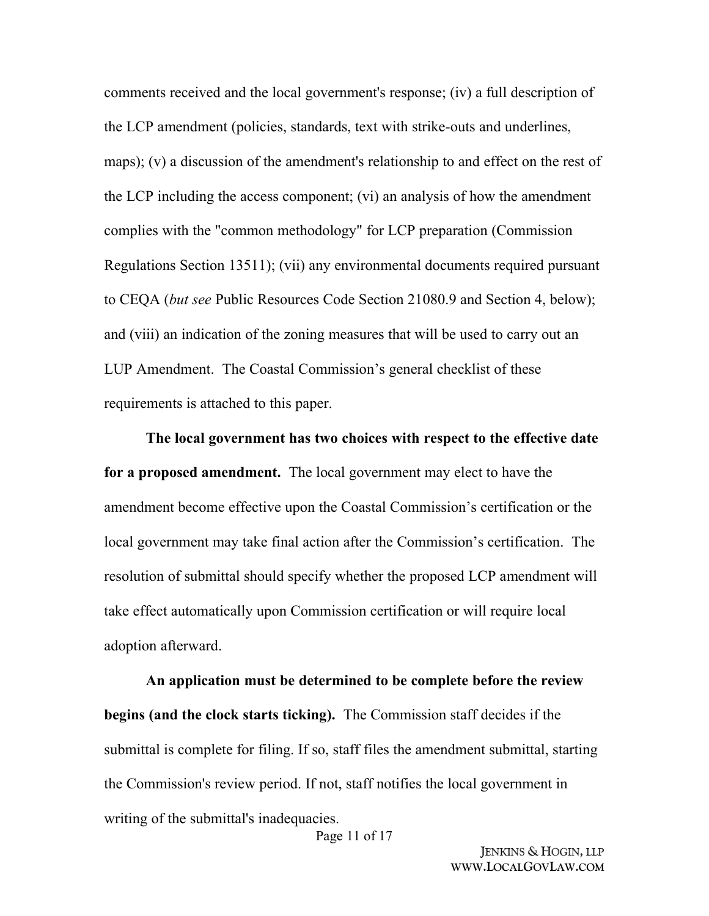comments received and the local government's response; (iv) a full description of the LCP amendment (policies, standards, text with strike-outs and underlines, maps); (v) a discussion of the amendment's relationship to and effect on the rest of the LCP including the access component; (vi) an analysis of how the amendment complies with the "common methodology" for LCP preparation (Commission Regulations Section 13511); (vii) any environmental documents required pursuant to CEQA (*but see* Public Resources Code Section 21080.9 and Section 4, below); and (viii) an indication of the zoning measures that will be used to carry out an LUP Amendment. The Coastal Commission's general checklist of these requirements is attached to this paper.

**The local government has two choices with respect to the effective date for a proposed amendment.** The local government may elect to have the amendment become effective upon the Coastal Commission's certification or the local government may take final action after the Commission's certification. The resolution of submittal should specify whether the proposed LCP amendment will take effect automatically upon Commission certification or will require local adoption afterward.

**An application must be determined to be complete before the review begins (and the clock starts ticking).** The Commission staff decides if the submittal is complete for filing. If so, staff files the amendment submittal, starting the Commission's review period. If not, staff notifies the local government in writing of the submittal's inadequacies.

Page 11 of 17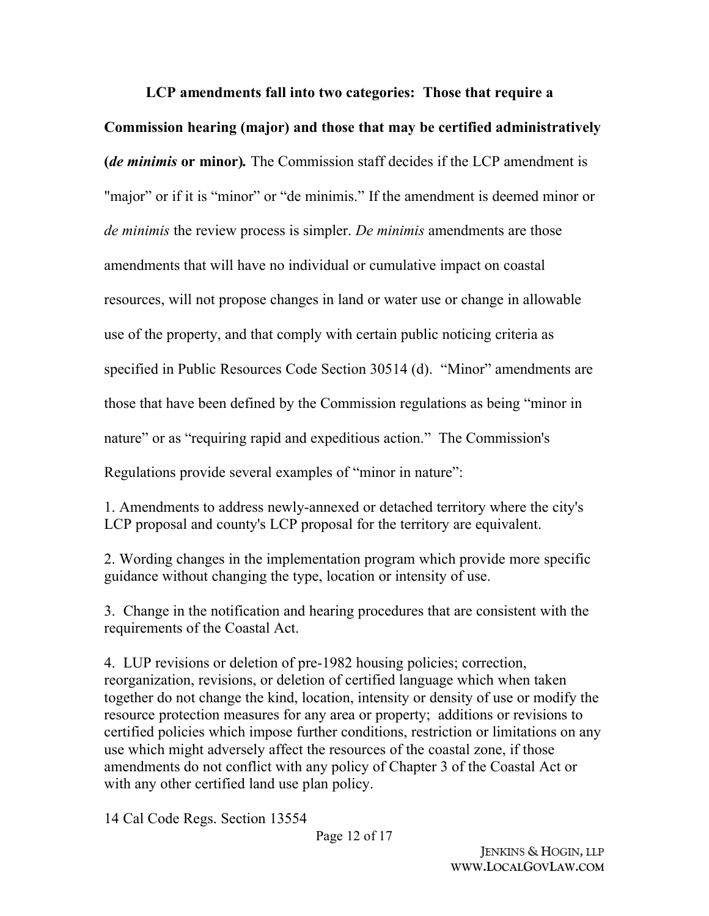## **LCP amendments fall into two categories: Those that require a**

**Commission hearing (major) and those that may be certified administratively (***de minimis* **or minor)***.* The Commission staff decides if the LCP amendment is "major" or if it is "minor" or "de minimis." If the amendment is deemed minor or *de minimis* the review process is simpler. *De minimis* amendments are those amendments that will have no individual or cumulative impact on coastal resources, will not propose changes in land or water use or change in allowable use of the property, and that comply with certain public noticing criteria as specified in Public Resources Code Section 30514 (d). "Minor" amendments are those that have been defined by the Commission regulations as being "minor in nature" or as "requiring rapid and expeditious action." The Commission's Regulations provide several examples of "minor in nature":

1. Amendments to address newly-annexed or detached territory where the city's LCP proposal and county's LCP proposal for the territory are equivalent.

2. Wording changes in the implementation program which provide more specific guidance without changing the type, location or intensity of use.

3. Change in the notification and hearing procedures that are consistent with the requirements of the Coastal Act.

4. LUP revisions or deletion of pre-1982 housing policies; correction, reorganization, revisions, or deletion of certified language which when taken together do not change the kind, location, intensity or density of use or modify the resource protection measures for any area or property; additions or revisions to certified policies which impose further conditions, restriction or limitations on any use which might adversely affect the resources of the coastal zone, if those amendments do not conflict with any policy of Chapter 3 of the Coastal Act or with any other certified land use plan policy.

14 Cal Code Regs. Section 13554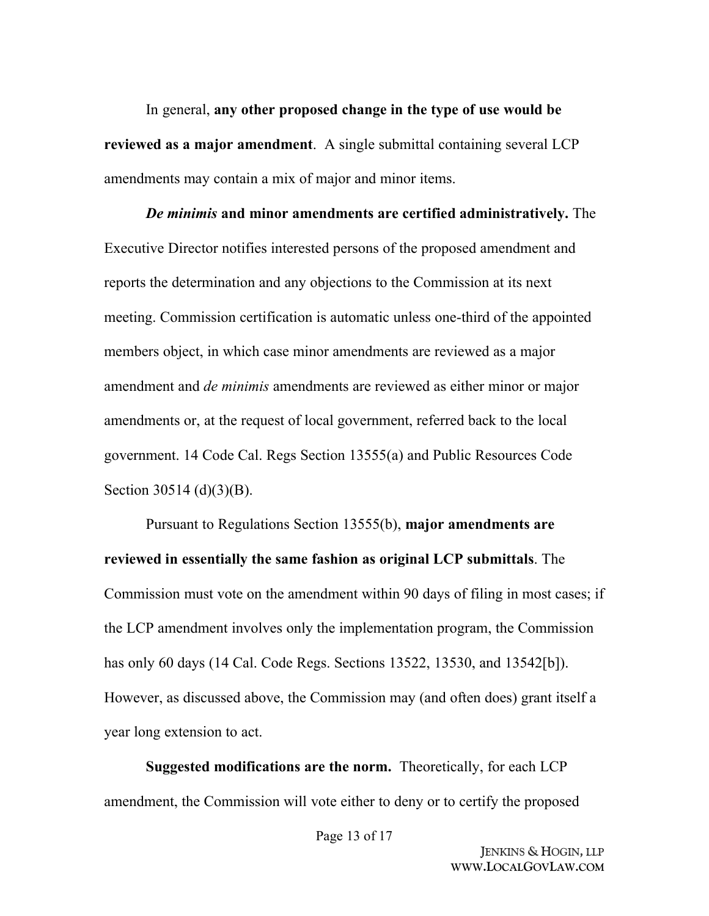In general, **any other proposed change in the type of use would be reviewed as a major amendment**. A single submittal containing several LCP amendments may contain a mix of major and minor items.

*De minimis* **and minor amendments are certified administratively.** The Executive Director notifies interested persons of the proposed amendment and reports the determination and any objections to the Commission at its next meeting. Commission certification is automatic unless one-third of the appointed members object, in which case minor amendments are reviewed as a major amendment and *de minimis* amendments are reviewed as either minor or major amendments or, at the request of local government, referred back to the local government. 14 Code Cal. Regs Section 13555(a) and Public Resources Code Section 30514 (d)(3)(B).

Pursuant to Regulations Section 13555(b), **major amendments are reviewed in essentially the same fashion as original LCP submittals**. The Commission must vote on the amendment within 90 days of filing in most cases; if the LCP amendment involves only the implementation program, the Commission has only 60 days (14 Cal. Code Regs. Sections 13522, 13530, and 13542[b]). However, as discussed above, the Commission may (and often does) grant itself a year long extension to act.

**Suggested modifications are the norm.** Theoretically, for each LCP amendment, the Commission will vote either to deny or to certify the proposed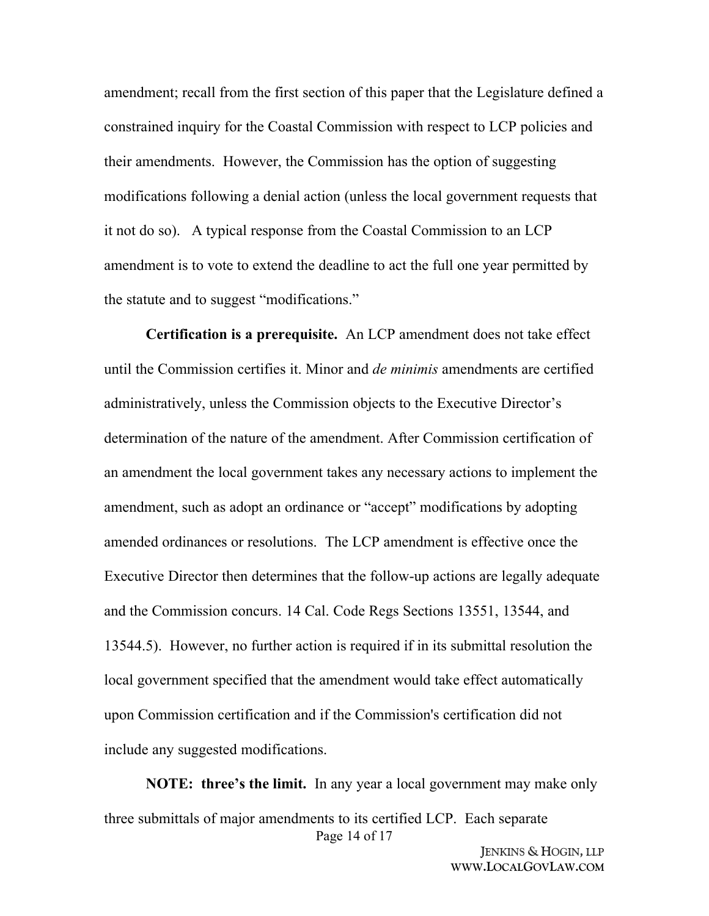amendment; recall from the first section of this paper that the Legislature defined a constrained inquiry for the Coastal Commission with respect to LCP policies and their amendments. However, the Commission has the option of suggesting modifications following a denial action (unless the local government requests that it not do so). A typical response from the Coastal Commission to an LCP amendment is to vote to extend the deadline to act the full one year permitted by the statute and to suggest "modifications."

**Certification is a prerequisite.** An LCP amendment does not take effect until the Commission certifies it. Minor and *de minimis* amendments are certified administratively, unless the Commission objects to the Executive Director's determination of the nature of the amendment. After Commission certification of an amendment the local government takes any necessary actions to implement the amendment, such as adopt an ordinance or "accept" modifications by adopting amended ordinances or resolutions. The LCP amendment is effective once the Executive Director then determines that the follow-up actions are legally adequate and the Commission concurs. 14 Cal. Code Regs Sections 13551, 13544, and 13544.5). However, no further action is required if in its submittal resolution the local government specified that the amendment would take effect automatically upon Commission certification and if the Commission's certification did not include any suggested modifications.

Page 14 of 17 **NOTE: three's the limit.** In any year a local government may make only three submittals of major amendments to its certified LCP. Each separate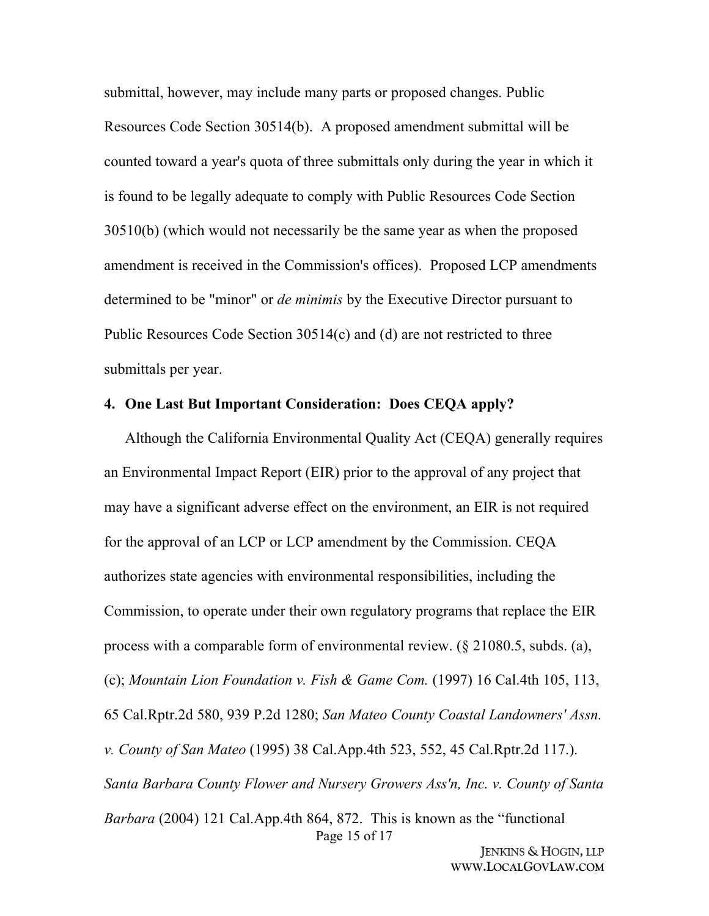submittal, however, may include many parts or proposed changes. Public Resources Code Section 30514(b). A proposed amendment submittal will be counted toward a year's quota of three submittals only during the year in which it is found to be legally adequate to comply with Public Resources Code Section 30510(b) (which would not necessarily be the same year as when the proposed amendment is received in the Commission's offices). Proposed LCP amendments determined to be "minor" or *de minimis* by the Executive Director pursuant to Public Resources Code Section 30514(c) and (d) are not restricted to three submittals per year.

#### **4. One Last But Important Consideration: Does CEQA apply?**

Page 15 of 17 Although the California Environmental Quality Act (CEQA) generally requires an Environmental Impact Report (EIR) prior to the approval of any project that may have a significant adverse effect on the environment, an EIR is not required for the approval of an LCP or LCP amendment by the Commission. CEQA authorizes state agencies with environmental responsibilities, including the Commission, to operate under their own regulatory programs that replace the EIR process with a comparable form of environmental review. (§ 21080.5, subds. (a), (c); *Mountain Lion Foundation v. Fish & Game Com.* (1997) 16 Cal.4th 105, 113, 65 Cal.Rptr.2d 580, 939 P.2d 1280; *San Mateo County Coastal Landowners' Assn. v. County of San Mateo* (1995) 38 Cal.App.4th 523, 552, 45 Cal.Rptr.2d 117.). *Santa Barbara County Flower and Nursery Growers Ass'n, Inc. v. County of Santa Barbara* (2004) 121 Cal.App.4th 864, 872. This is known as the "functional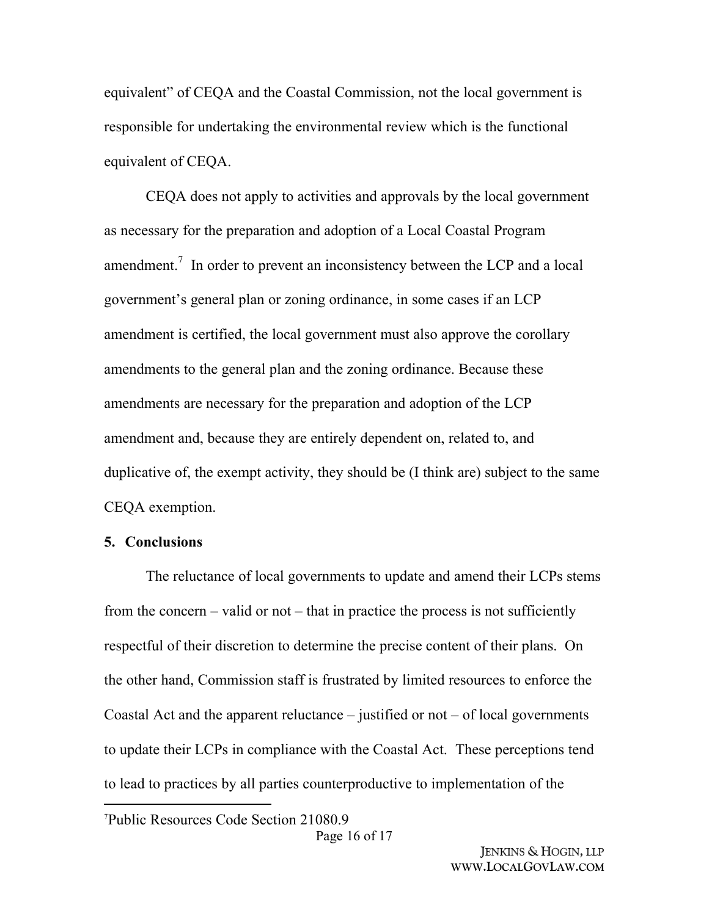equivalent" of CEQA and the Coastal Commission, not the local government is responsible for undertaking the environmental review which is the functional equivalent of CEQA.

CEQA does not apply to activities and approvals by the local government as necessary for the preparation and adoption of a Local Coastal Program amendment.<sup>7</sup> In order to prevent an inconsistency between the LCP and a local government's general plan or zoning ordinance, in some cases if an LCP amendment is certified, the local government must also approve the corollary amendments to the general plan and the zoning ordinance. Because these amendments are necessary for the preparation and adoption of the LCP amendment and, because they are entirely dependent on, related to, and duplicative of, the exempt activity, they should be (I think are) subject to the same CEQA exemption.

### **5. Conclusions**

The reluctance of local governments to update and amend their LCPs stems from the concern – valid or not – that in practice the process is not sufficiently respectful of their discretion to determine the precise content of their plans. On the other hand, Commission staff is frustrated by limited resources to enforce the Coastal Act and the apparent reluctance  $-$  justified or not  $-$  of local governments to update their LCPs in compliance with the Coastal Act. These perceptions tend to lead to practices by all parties counterproductive to implementation of the

<sup>7</sup>Public Resources Code Section 21080.9